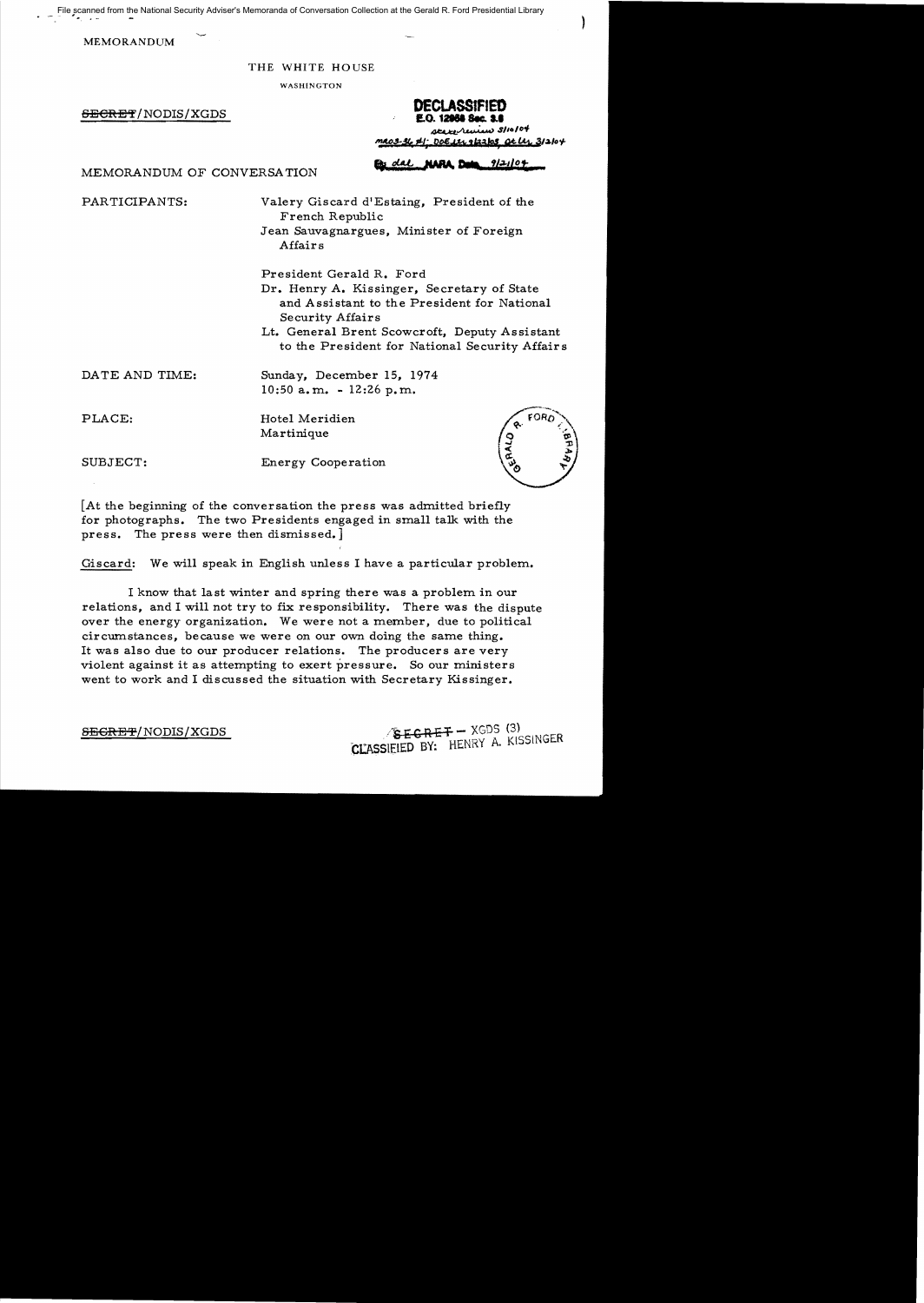File scanned from the National Security Adviser's Memoranda of Conversation Collection at the Gerald R. Ford Presidential Library

MEMORANDUM

"

#### THE WHITE HOUSE

WASHINGTON

**DECLASSIFIED**<br>**1.0. 12068 Sec. 1.8**<br>8/10/04 *Steep Later Conditions* 3/10/04 **DECLASSIFIED**<br>**E.O. 12988 Sec. 3.8**<br>*Att. Att. Doe in the Shott*<br>**Parally below to the Shottle Shottle**<br>**Ex. dal.** MABA Peter Shottlet

.. clA.t. }WtA. **Drte** *1{.;J.llot* MEMORANDUM OF CONVERSATION

PARTICIPANTS: Valery Giscard d'Estaing, President of the French Republic Jean Sauvagnargues, Minister of Foreign

Affairs

President Gerald R. Ford

- Dr. Henry A. Kissinger, Secretary of State and Assistant to the President for National Security Affairs
- Lt. General Brent Scowcroft, Deputy Assistant to the President for National Security Affairs

DATE AND TIME: Sunday, December 15, 1974 10:50 a.m. - 12:26 p.m.

PLACE: Hotel Meridien Martinique

SUBJECT: Energy Cooperation



[At the beginning of the conversation the press was admitted briefly for photographs. The two Presidents engaged in small talk with the press. The press were then dismissed.]

Giscard: We will speak in English unless I have a particular problem.

I know that last winter and spring there was a problem in our relations, and I will not try to fix responsibility. There was the dispute over the energy organization. We were not a member, due to political circumstances, because we were on our own doing the same thing. It was also due to our producer relations. The producers are very violent against it as attempting to exert pressure. So our ministers went to work and I discussed the situation with Secretary Kissinger.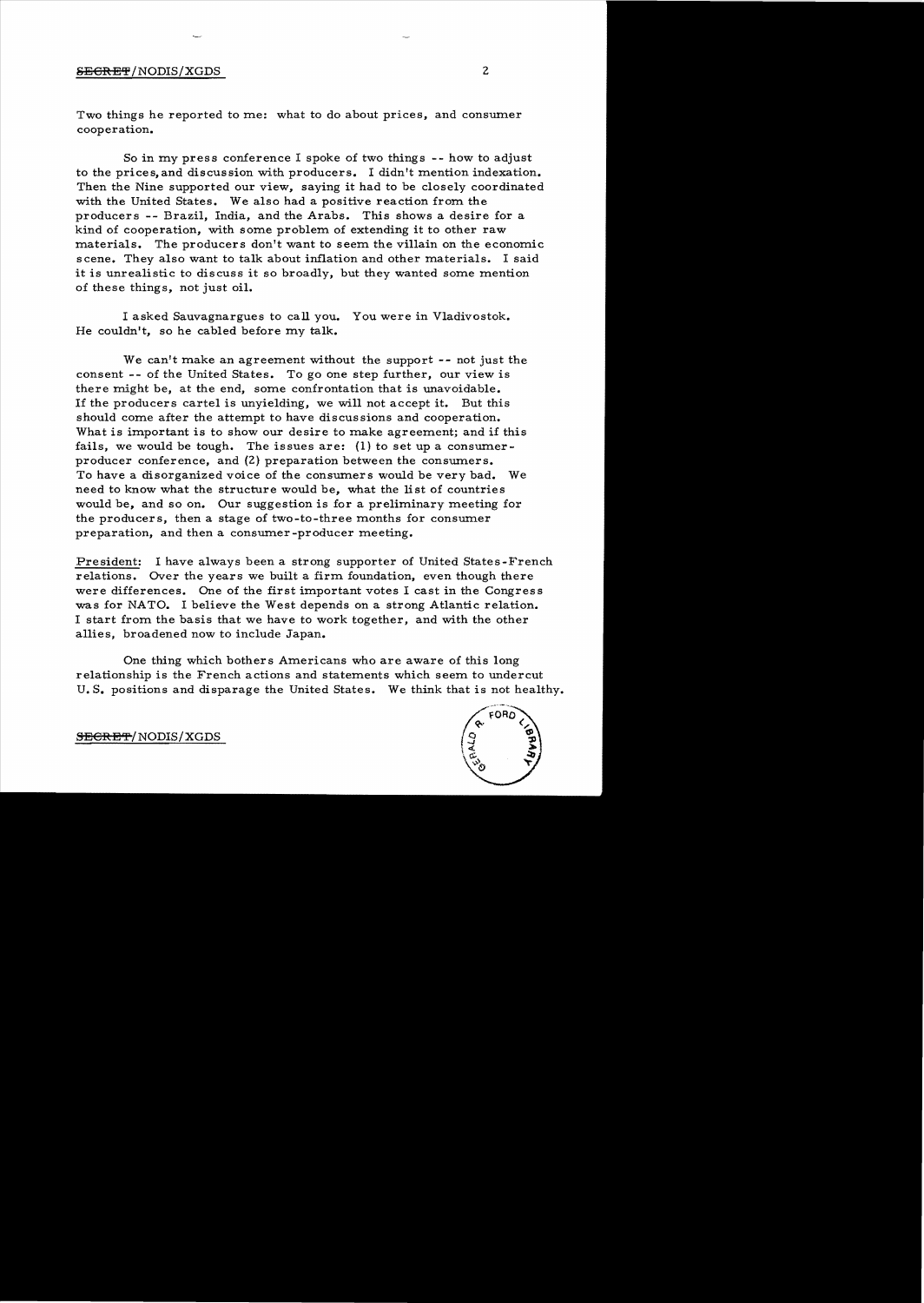### SEGRET/NODIS/XGDS 2

Two things he reported to me: what to do about prices, and consumer cooperation.

So in my press conference I spoke of two things -- how to adjust to the prices, and discussion with producers. I didn't mention indexation. Then the Nine supported our view, saying it had to be closely coordinated with the United States. We also had a positive reaction from the producers -- Brazil, India, and the Arabs. This shows a desire for a kind of cooperation, with some problem of extending it to other raw materials. The producers don't want to seem the villain on the economic scene. They also want to talk about inflation and other materials. I said it is unrealistic to discuss it so broadly, but they wanted some mention of these things, not just oil.

I asked Sauvagnargues to call you. You were in Vladivostok. He couldn't, so he cabled before my talk.

We can't make an agreement without the support -- not just the consent -- of the United States. To go one step further, our view is there might be, at the end, some confrontation that is unavoidable. If the producers cartel is unyielding, we will not accept it. But this should come after the attempt to have discussions and cooperation. What is important is to show our desire to make agreement; and if this fails, we would be tough. The issues are: (1) to set up a consumerproducer conference, and (2) preparation between the consumers. To have a disorganized voice of the consumers would be very bad. We need to know what the structure would be, what the list of countries would be, and so on. Our suggestion is for a preliminary meeting for the producers, then a stage of two-to-three months for consumer preparation, and then a consumer -producer meeting.

President: I have always been a strong supporter of United States-French relations. Over the years we built a firm foundation, even though there were differences. One of the first important votes I cast in the Congress was for NATO. I believe the West depends on a strong Atlantic relation. I start from the basis that we have to work together, and with the other allies, broadened now to include Japan.

One thing which bothers Americans who are aware of this long relationship is the French actions and statements which seem to undercut U. S. positions and disparage the United States. We think that is not healthy.



SECRET/NODIS/XGDS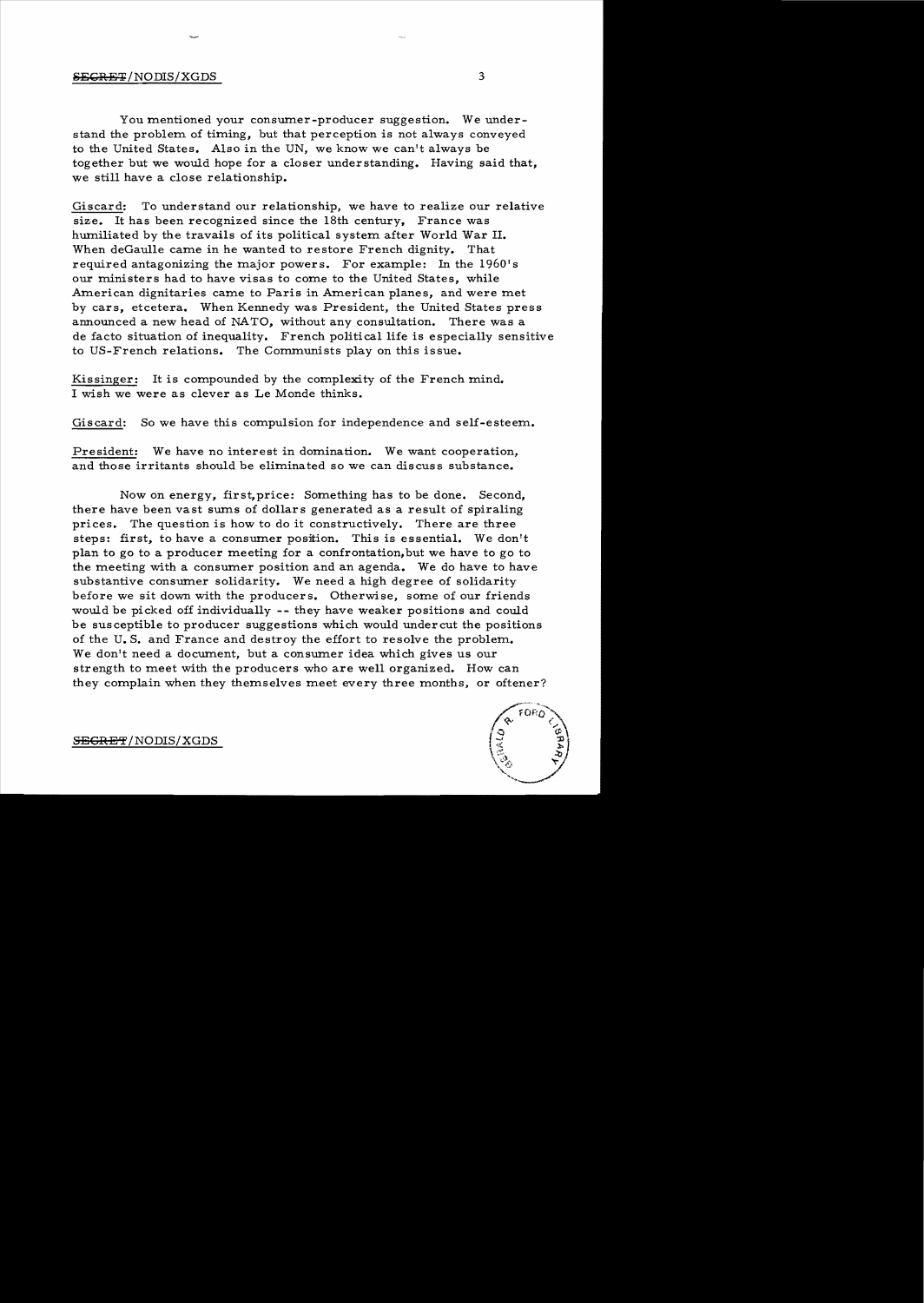#### SECRET/NODIS/XGDS 3

You mentioned your consumer-producer suggestion. We understand the problem of timing, but that perception is not always conveyed to the United States. Also in the UN, we know we can't always be together but we would hope for a closer understanding. Having said that, we still have a close relationship.

Giscard: To understand our relationship, we have to realize our relative size. It has been recognized since the 18th century, France was humiliated by the travails of its political system after World War II. When deGaulle came in he wanted to restore French dignity. That required antagonizing the major powers. For example: In the 1960's our ministers had to have visas to come to the United States, while American dignitaries came to Paris in American planes, and were met by cars, etcetera. When Kennedy was President, the United States press announced a new head of NATO, without any consultation. There was a de facto situation of inequality. French political life is especially sensitive to US-French relations. The Communists play on this issue.

Kissinger: It is compounded by the complexity of the French mind. I wish we were as clever as Le Monde thinks.

Giscard: So we have this compulsion for independence and self-esteem.

President: We have no interest in domination. We want cooperation, and those irritants should be eliminated so we can discuss substance.

Now on energy, first, price: Something has to be done. Second, there have been vast sums of dollars generated as a result of spiraling prices. The question is how to do it constructively. There are three steps: first, to have a consumer position. This is essential. We don't plan to go to a producer meeting for a confrontation,but we have to go to the meeting with a consumer position and an agenda. We do have to have substantive consumer solidarity. We need a high degree of solidarity before we sit down with the producers. Otherwise, some of our friends would be picked off individually -- they have weaker positions and could be susceptible to producer suggestions which would undercut the positions of the U. S. and France and destroy the effort to resolve the problem. We don't need a document, but a consumer idea which gives us our strength to meet with the producers who are well organized. How can they complain when they themselves meet every three months, or oftener?

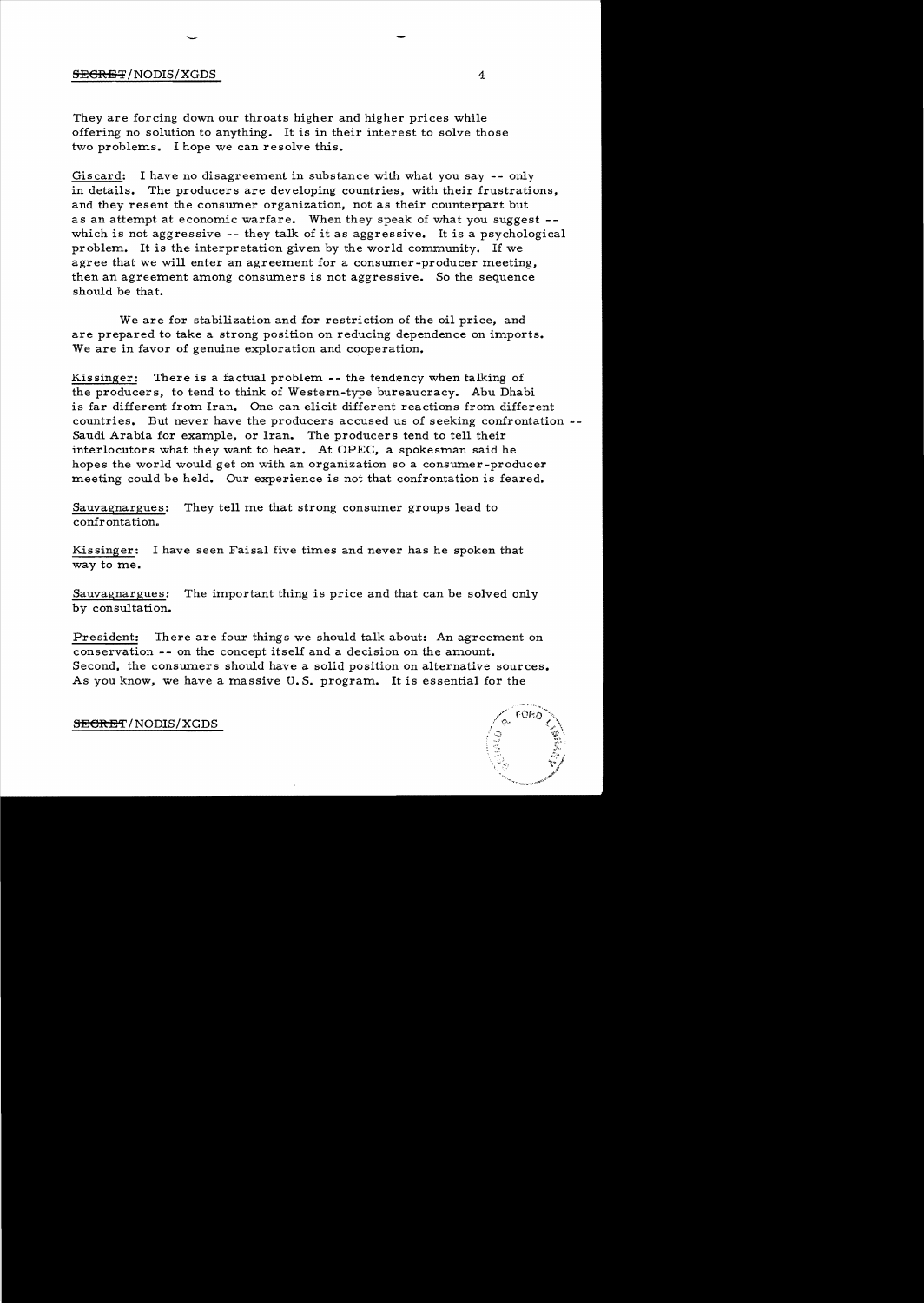#### SECRET/NODIS/XGDS 4

They are forcing down our throats higher and higher prices while offering no solution to anything. It is in their interest to solve those two problems. I hope we can resolve this.

Giscard: I have no disagreement in substance with what you say -- only in details. The producers are developing countries, with their frustrations, and they resent the consumer organization, not as their counterpart but as an attempt at economic warfare. When they speak of what you suggest which is not aggressive -- they talk of it as aggressive. It is a psychological problem. It is the interpretation given by the world community. If we agree that we will enter an agreement for a consumer-producer meeting, then an agreement among consumers is not aggressive. So the sequence should be that.

We are for stabilization and for restriction of the oil price, and are prepared to take a strong position on reducing dependence on imports. We are in favor of genuine exploration and cooperation.

Kissinger: There is a factual problem -- the tendency when talking of the producers, to tend to think of Western-type bureaucracy. Abu Dhabi is far different from Iran. One can elicit different reactions from different countries. But never have the producers accused us of seeking confrontation Saudi Arabia for example, or Iran. The producers tend to tell their interlocutors what they want to hear. At OPEC, a spokesman said he hopes the world would get on with an organization so a consumer-producer meeting could be held. Our experience is not that confrontation is feared.

Sauvagnargues: They tell me that strong consumer groups lead to confrontation.

Kissinger: I have seen Faisal five times and never has he spoken that way to me.

Sauvagnargues: The important thing is price and that can be solved only by consultation.

President: There are four things we should talk about: An agreement on conservation -- on the concept itself and a decision on the amount. Second, the consumers should have a solid position on alternative sources. As you know, we have a massive U. S. program. It is essential for the

SECRET/NODIS/XGDS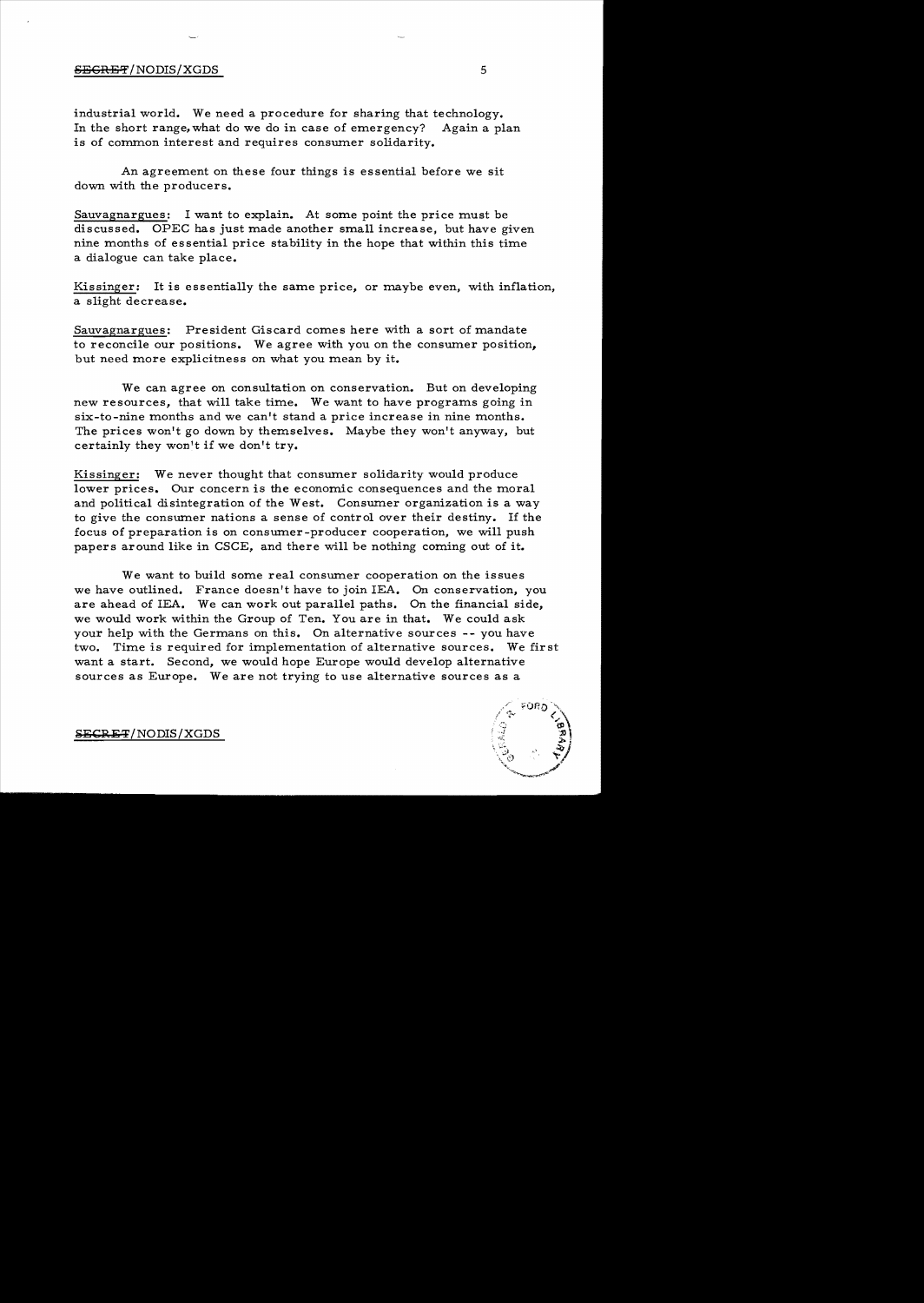#### $S_{\rm EGRBF}/\rm{NODIS}/\rm{XGDS}$  5

industrial world. We need a procedure for sharing that technology. In the short range, what do we do in case of emergency? Again a plan is of common interest and requires consumer solidarity.

An agreement on these four things is essential before we sit down with the producers.

Sauvagnargues: I want to explain. At some point the price must be discussed. OPEC has just made another small increase, but have given nine months of essential price stability in the hope that within this time a dialogue can take place.

Kissinger: It is essentially the same price, or maybe even, with inflation, a slight decrease.

Sauvagnargues: President Giscard comes here with a sort of mandate to reconcile our positions. We agree with you on the consumer position, but need more explicitness on what you mean by it.

We can agree on consultation on conservation. But on developing new resources, that will take time. We want to have programs going in six-to-nine months and we can't stand a price increase in nine months. The prices won't go down by themselves. Maybe they won't anyway, but certainly they won't if we don't try.

Kissinger: We never thought that consumer solidarity would produce lower prices. Our concern is the economic consequences and the moral and political disintegration of the West. Consumer organization is a way to give the consumer nations a sense of control over their destiny. If the focus of preparation is on consumer-producer cooperation, we will push papers around like in CSCE, and there will be nothing coming out of it.

We want to build some real consumer cooperation on the issues we have outlined. France doesn't have to join lEA. On conservation, you are ahead of lEA. We can work out parallel paths. On the financial side, we would work within the Group of Ten. You are in that. We could ask your help with the Germans on this. On alternative sources -- you have two. Time is required for implementation of alternative sources. We first want a start. Second, we would hope Europe would develop alternative sources as Europe. We are not trying to use alternative sources as a

 $SECHF$  NODIS/XGDS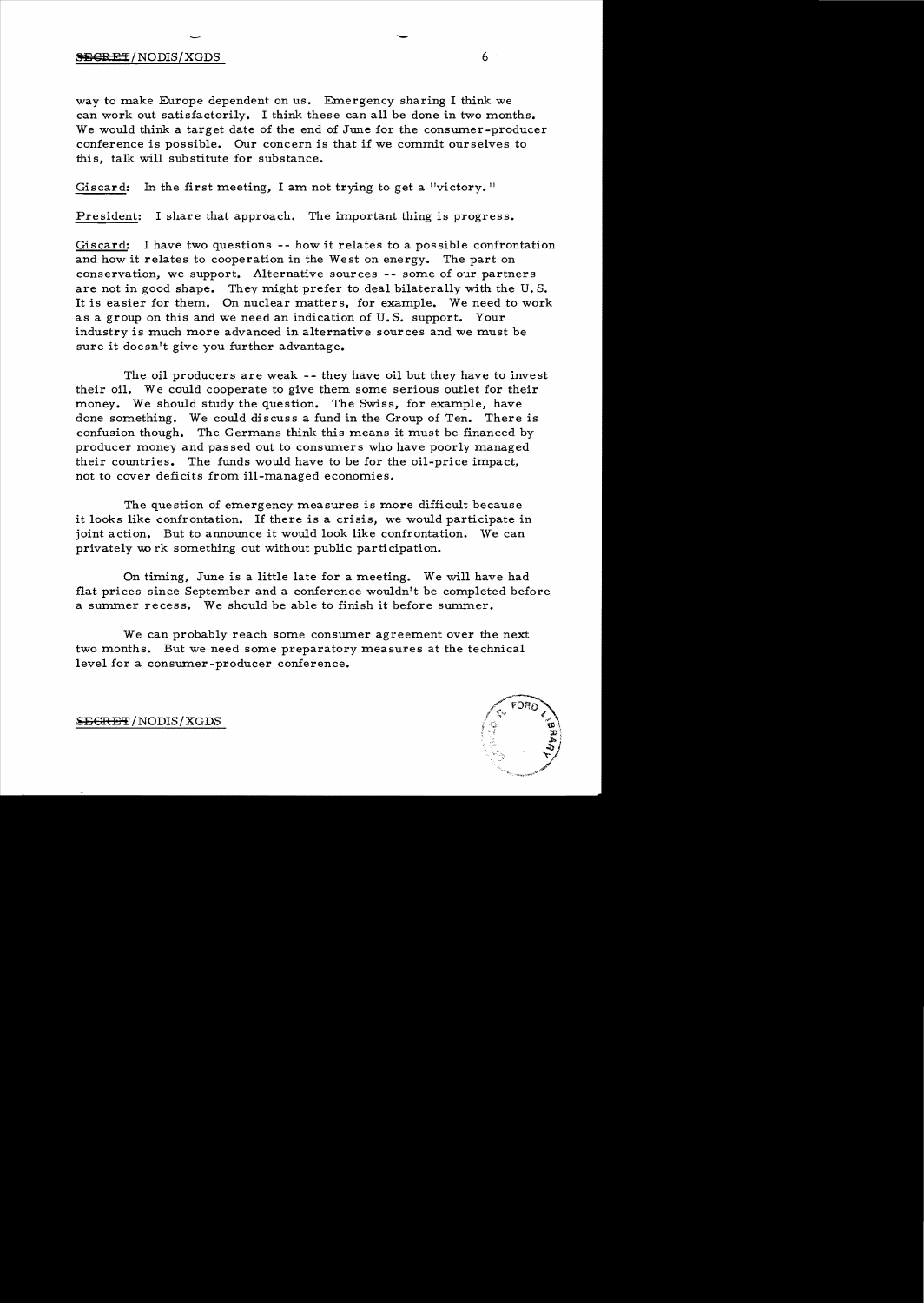#### **SEGRET/NODIS/XGDS** 6

way to make Europe dependent on us. Emergency sharing I think we can work out satisfactorily. I think these can all be done in two months. We would think a target date of the end of June for the consumer-producer conference is possible. Our concern is that if we commit ourselves to this, talk will substitute for substance.

-

Giscard: In the first meeting, I am not trying to get a "victory."

President: I share that approach. The important thing is progress.

Giscard: I have two questions -- how it relates to a possible confrontation and how it relates to cooperation in the West on energy. The part on conservation, we support. Alternative sources -- some of our partners are not in good shape. They might prefer to deal bilaterally with the U. S. It is easier for them. On nuclear matters, for example. We need to work as a group on this and we need an indication of U. S. support. Your industry is much more advanced in alternative sources and we must be sure it doesn't give you further advantage.

The oil producers are weak -- they have oil but they have to invest their oil. We could cooperate to give them some serious outlet for their money. We should study the question. The Swiss, for example, have done something. We could discuss a fund in the Group of Ten. There is confusion though. The Germans think this means it must be financed by producer money and passed out to consumers who have poorly managed their countries. The funds would have to be for the oil-price impact, not to cover deficits from ill-managed economies.

The question of emergency measures is more difficult because it looks like confrontation. If there is a crisis, we would participate in joint action. But to announce it would look like confrontation. We can privately wo rk something out without public participation.

On timing, June is a little late for a meeting. We will have had flat prices since September and a conference wouldn't be completed before a summer recess. We should be able to finish it before summer.

We can probably reach some consumer agreement over the next two months. But we need some preparatory measures at the technical level for a consumer -producer conference.



 $S\to$ GRET/NODIS/XGDS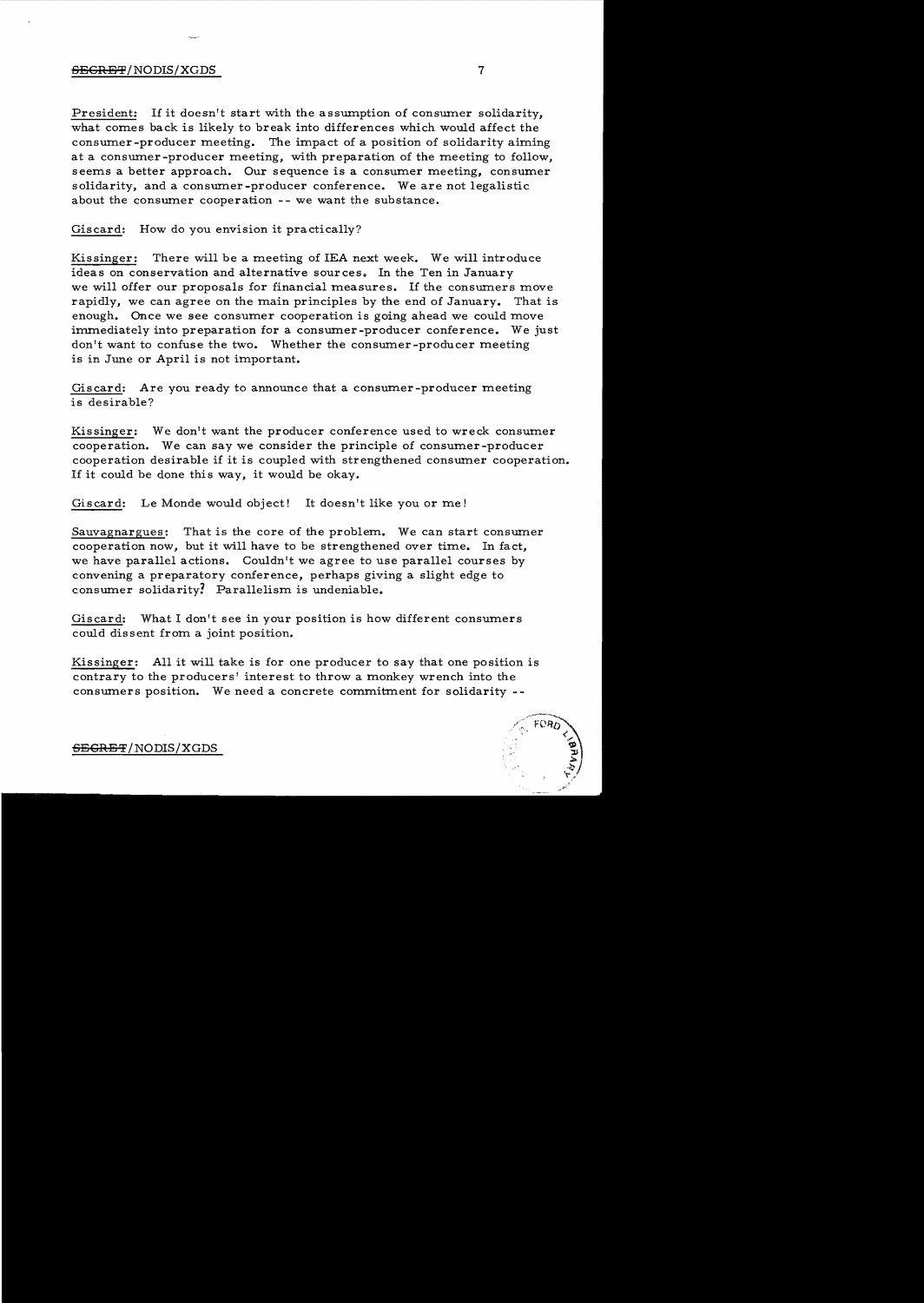#### **SEGRE'%'**/ NODIS/XGDS 7

President: If it doesn't start with the assumption of consumer solidarity, what comes back is likely to break into differences which would affect the consumer -producer meeting. The impact of a position of solidarity aiming at a consumer-producer meeting, with preparation of the meeting to follow, seems a better approach. Our sequence is a consumer meeting, consumer solidarity, and a consumer -producer conference. We are not legalistic about the consumer cooperation -- we want the substance.

Giscard: How do you envision it practically?

Kissinger: There will be a meeting of lEA next week. We will introduce ideas on conservation and alternative sources. In the Ten in January we will offer our proposals for financial measures. If the consumers move rapidly, we can agree on the main principles by the end of January. That is enough. Once we see consumer cooperation is going ahead we could move immediately into preparation for a consumer-producer conference. We just don't want to confuse the two. Whether the consumer-producer meeting is in June or April is not important.

Giscard: Are you ready to announce that a consumer-producer meeting is desirable?

Kissinger: We don't want the producer conference used to wreck consumer cooperation. We can say we consider the principle of consumer-producer cooperation desirable if it is coupled with strengthened consumer cooperation. If it could be done this way, it would be okay.

Giscard: Le Monde would object! It doesn't like you or me!

Sauvagnargues: That is the core of the problem. We can start consumer cooperation now, but it will have to be strengthened over time. In fact, we have parallel actions. Couldn't we agree to use parallel courses by convening a preparatory conference, perhaps giving a slight edge to consumer solidarity? Parallelism is undeniable.

Giscard: What I don't see in your position is how different consumers could dissent from a joint position.

Kissinger: All it will take is for one producer to say that one position is contrary to the producers' interest to throw a monkey wrench into the consumers position. We need a concrete commitment for solidarity



**-SEGRET** /NODIS/XGDS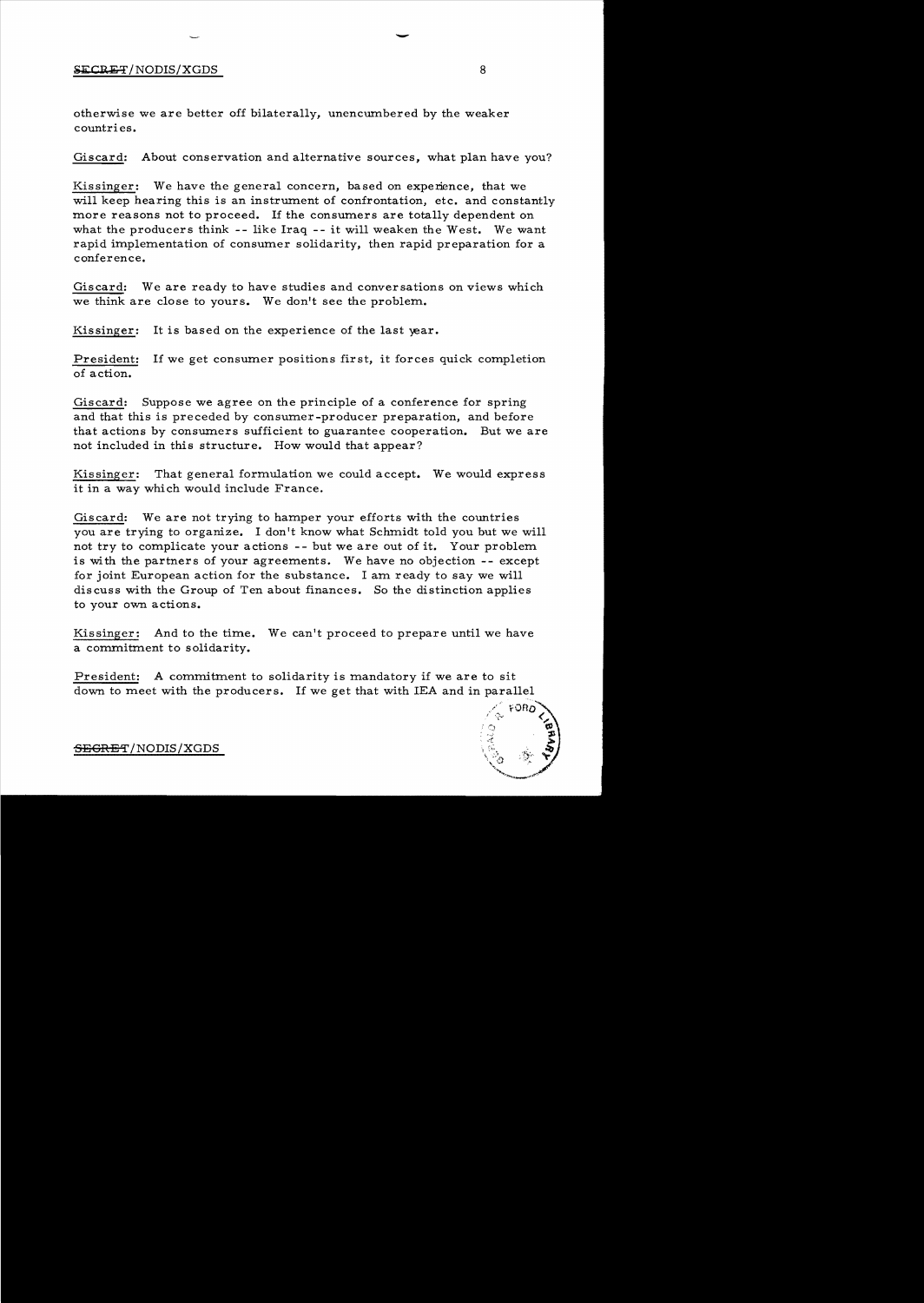#### ${SECRET/ NODIS/XGDS}$  8

otherwise we are better off bilaterally, unencumbered by the weaker countries.

Giscard: About conservation and alternative sources, what plan have you?

-

Kissinger: We have the general concern, based on experience, that we will keep hearing this is an instrument of confrontation, etc. and constantly more reasons not to proceed. If the consumers are totally dependent on what the producers think **--** like Iraq **--** it will weaken the West. We want rapid implementation of consumer solidarity, then rapid preparation for a conference.

Giscard: We are ready to have studies and conversations on views which we think are close to yours. We don't see the problem.

Kissinger: It is based on the experience of the last year.

President: If we get consumer positions first, it forces quick completion of action.

Giscard: Suppose we agree on the principle of a conference for spring and that this is preceded by consumer-producer preparation, and before that actions by consumers sufficient to guarantee cooperation. But we are not included in this structure. How would that appear?

Kissinger: That general formulation we could accept. We would express it in a way which would include France.

Giscard: We are not trying to hamper your efforts with the countries you are trying to organize. I don't know what Schmidt told you but we will not try to complicate your actions -- but we are out of it. Your problem is with the partners of your agreements. We have no objection **--** except for joint European action for the substance. I am ready to say we will discuss with the Group of Ten about finances. So the distinction applies to your own actions.

Kissinger: And to the time. We can't proceed to prepare until we have a commitment to solidarity.

President: A commitment to solidarity is mandatory if we are to sit down to meet with the producers. If we get that with lEA and in parallel



'SEGRET/NODIS/XGDS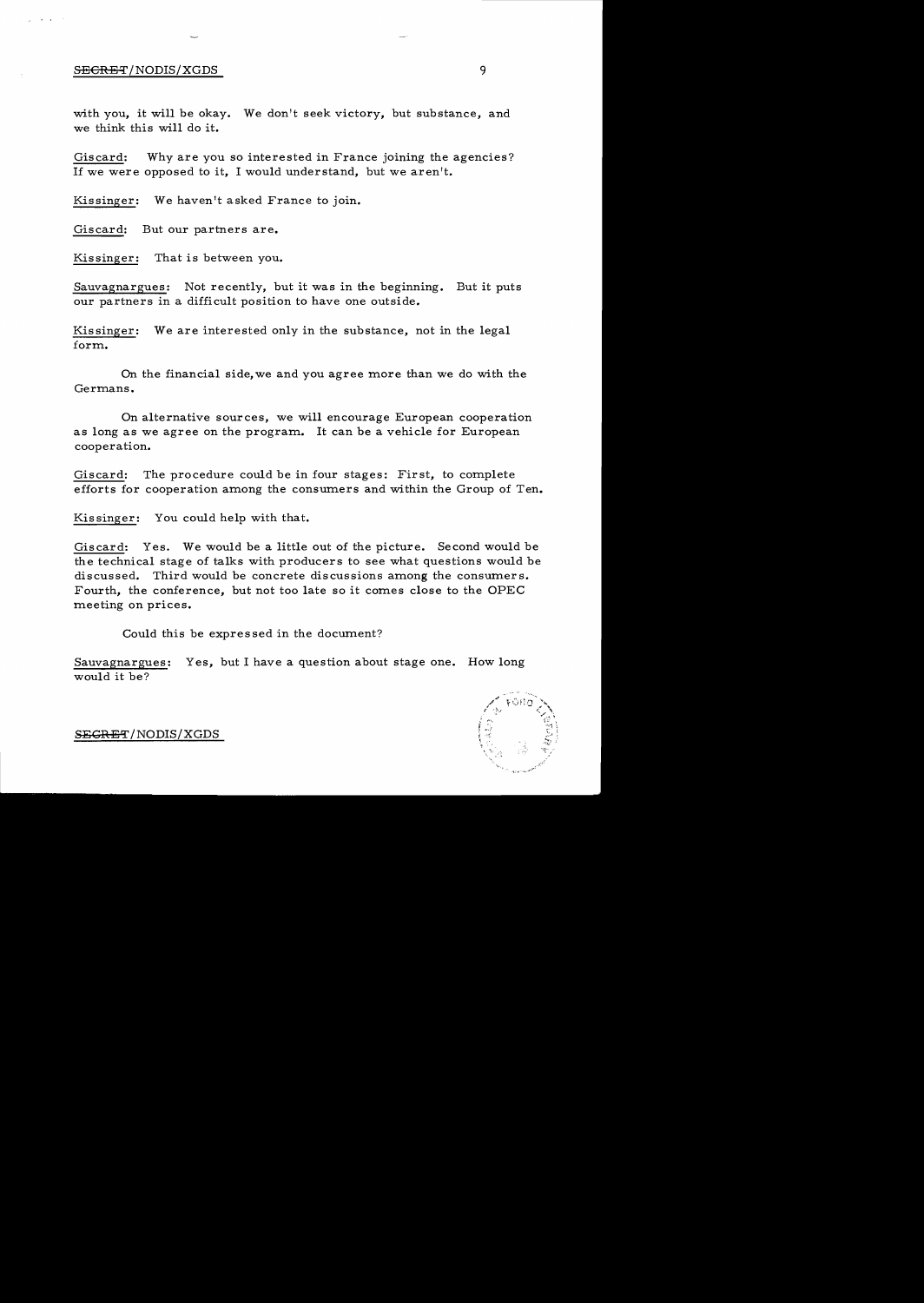#### SECRET/NODIS/XGDS

with you, it will be okay. We don't seek victory, but substance, and we think this will do it.

Giscard: Why are you so interested in France joining the agencies? If we were opposed to it, I would understand, but we aren't.

Kissinger: We haven't asked France to join.

Giscard: But our partners are.

Kissinger: That is between you.

Sauvagnargues: Not recently, but it was in the beginning. But it puts our partners in a difficult position to have one outside.

Kissinger: We are interested only in the substance, not in the legal form.

On the financial side, we and you agree more than we do with the Germans.

On alternative sources, we will encourage European cooperation as long as we agree on the program. It can be a vehicle for European cooperation.

Giscard: The procedure could be in four stages: First, to complete efforts for cooperation among the consumers and within the Group of Ten.

Kissinger: You could help with that.

Giscard: Yes. We would be a little out of the picture. Second would be the technical stage of talks with producers to see what questions would be discussed. Third would be concrete discussions among the consumers. Fourth, the conference, but not too late so it comes close to the OPEC meeting on prices.

Could this be expressed in the document?

Sauvagnargues: Yes, but I have a question about stage one. How long would it be?



S<del>EGRET</del>/NODIS/XGDS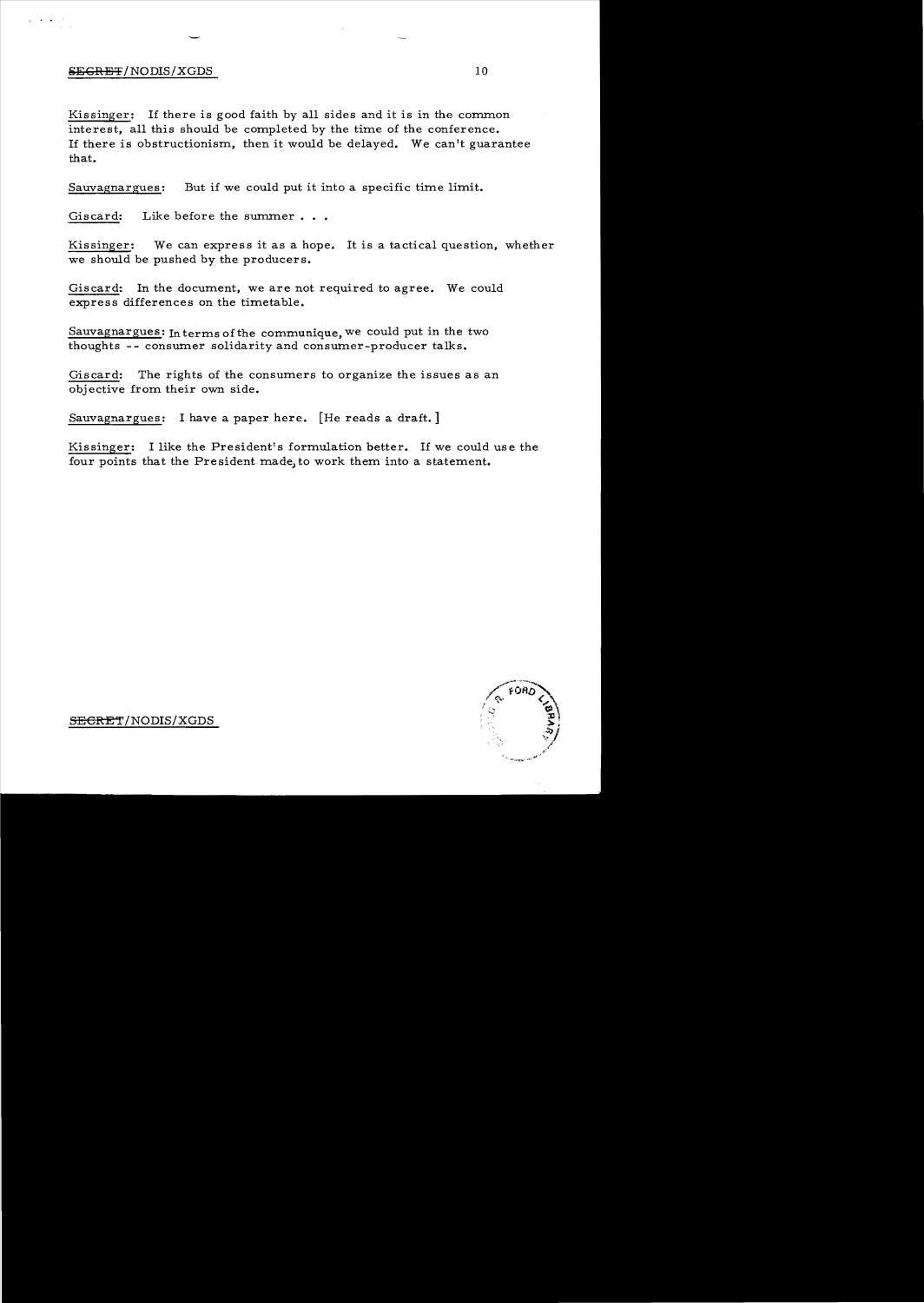#### $SEGREF/NODIS/XGDS$  10

Kissinger: If there is good faith by all sides and it is in the common interest, all this should be completed by the time of the conference. If there is obstructionism, then it would be delayed. We can't guarantee that.

Sauvagnargues: But if we could put it into a specific time limit.

Giscard: Like before the summer...

Kissinger: We can express it as a hope. It is a tactical question, whether we should be pushed by the producers.

Giscard: In the document, we are not required to agree. We could express differences on the timetable.

Sauvagnargues: In terms of the communique, we could put in the two thoughts -- consumer solidarity and consumer-producer talks.

Giscard: The rights of the consumers to organize the issues as an objective from their own side.

Sauvagnargues: I have a paper here. [He reads a draft.]

Kissinger: I like the President's formulation better. If we could use the four points that the President made, to work them into a statement.

SECRET/NODIS/XGDS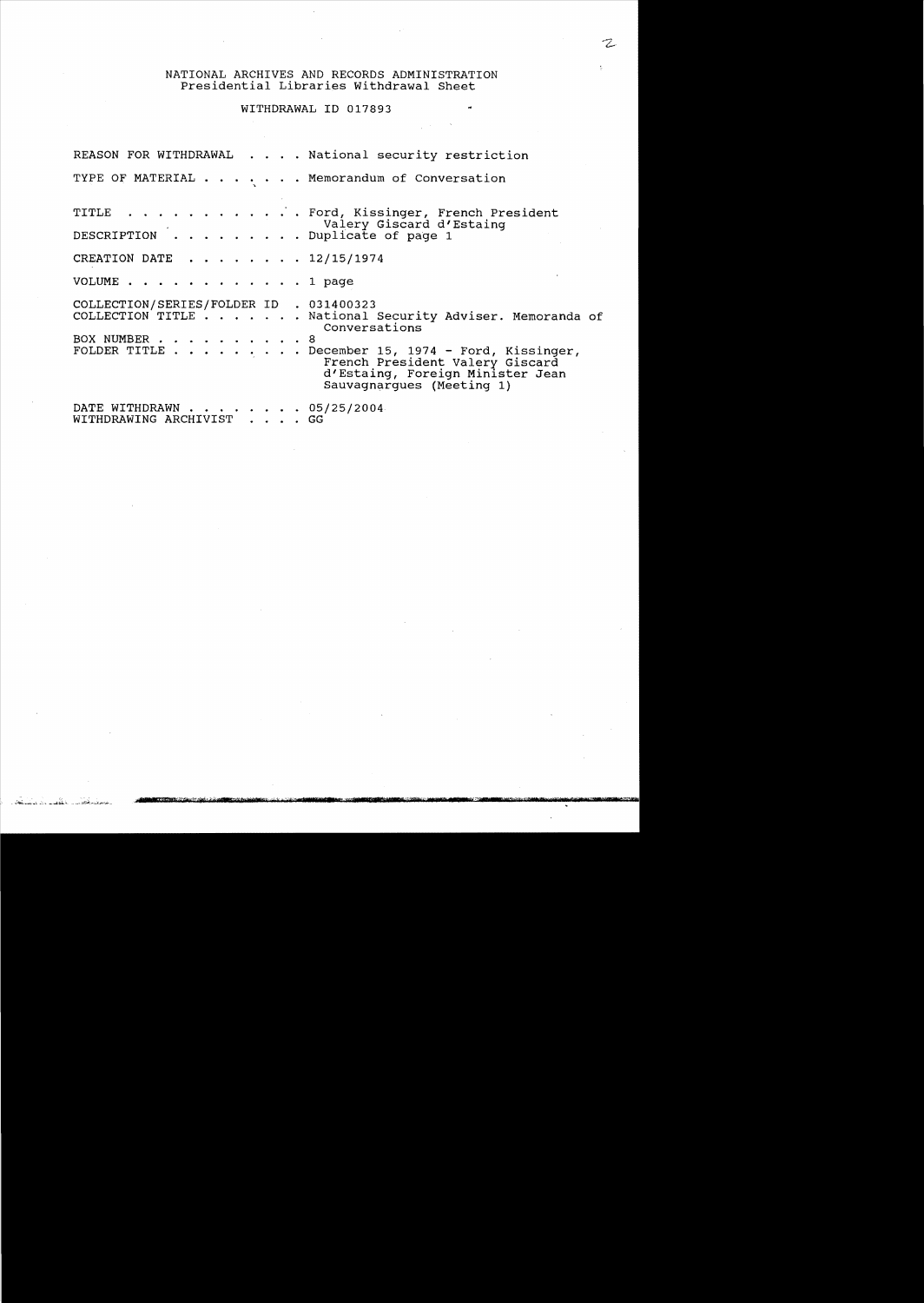# NATIONAL ARCHIVES AND RECORDS ADMINISTRATION Presidential Libraries withdrawal Sheet

 $\overline{\phantom{a}}$ 

 $\sim$ 

 $\frac{1}{2}$  ,  $\frac{1}{2}$ 

### WITHDRAWAL ID 017893

|                                                           | REASON FOR WITHDRAWAL National security restriction                                                                                                                                                                                |
|-----------------------------------------------------------|------------------------------------------------------------------------------------------------------------------------------------------------------------------------------------------------------------------------------------|
|                                                           | TYPE OF MATERIAL Memorandum of Conversation                                                                                                                                                                                        |
| valery Giscard dip<br>DESCRIPTION Duplicate of page 1     | TITLE Ford, Kissinger, French President<br>Valery Giscard d'Estainq                                                                                                                                                                |
| CREATION DATE $\ldots$ , $\ldots$ , $\frac{12}{15}{1974}$ |                                                                                                                                                                                                                                    |
| VOLUME 1 page                                             |                                                                                                                                                                                                                                    |
| COLLECTION/SERIES/FOLDER ID . 031400323<br>BOX NUMBER 8   | COLLECTION TITLE National Security Adviser. Memoranda of<br>Conversations<br>FOLDER TITLE December 15, 1974 - Ford, Kissinger,<br>French President Valery Giscard<br>d'Estaing, Foreign Minister Jean<br>Sauvagnarques (Meeting 1) |
| DATE WITHDRAWN 05/25/2004<br>WITHDRAWING ARCHIVIST GG     |                                                                                                                                                                                                                                    |

ستىيس